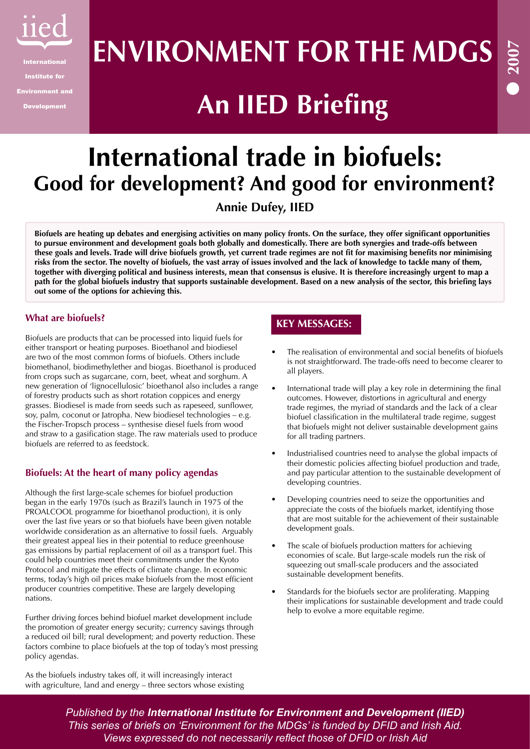

# **ENVIRONMENT FOR THE MDGS**

## **An IIED Briefing**

### **International trade in biofuels: Good for development? And good for environment? Annie Dufey, IIED**

**Biofuels are heating up debates and energising activities on many policy fronts. On the surface, they offer significant opportunities to pursue environment and development goals both globally and domestically. There are both synergies and trade-offs between these goals and levels. Trade will drive biofuels growth, yet current trade regimes are not fit for maximising benefits nor minimising risks from the sector. The novelty of biofuels, the vast array of issues involved and the lack of knowledge to tackle many of them, together with diverging political and business interests, mean that consensus is elusive. It is therefore increasingly urgent to map a path for the global biofuels industry that supports sustainable development. Based on a new analysis of the sector, this briefing lays out some of the options for achieving this.**

#### **What are biofuels?**

Biofuels are products that can be processed into liquid fuels for either transport or heating purposes. Bioethanol and biodiesel are two of the most common forms of biofuels. Others include biomethanol, biodimethylether and biogas. Bioethanol is produced from crops such as sugarcane, corn, beet, wheat and sorghum. A new generation of 'lignocellulosic' bioethanol also includes a range of forestry products such as short rotation coppices and energy grasses. Biodiesel is made from seeds such as rapeseed, sunflower, soy, palm, coconut or Jatropha. New biodiesel technologies – e.g. the Fischer-Tropsch process – synthesise diesel fuels from wood and straw to a gasification stage. The raw materials used to produce biofuels are referred to as feedstock.

#### **Biofuels: At the heart of many policy agendas**

Although the first large-scale schemes for biofuel production began in the early 1970s (such as Brazil's launch in 1975 of the PROALCOOL programme for bioethanol production), it is only over the last five years or so that biofuels have been given notable worldwide consideration as an alternative to fossil fuels. Arguably their greatest appeal lies in their potential to reduce greenhouse gas emissions by partial replacement of oil as a transport fuel. This could help countries meet their commitments under the Kyoto Protocol and mitigate the effects of climate change. In economic terms, today's high oil prices make biofuels from the most efficient producer countries competitive. These are largely developing nations.

Further driving forces behind biofuel market development include the promotion of greater energy security; currency savings through a reduced oil bill; rural development; and poverty reduction. These factors combine to place biofuels at the top of today's most pressing policy agendas.

As the biofuels industry takes off, it will increasingly interact with agriculture, land and energy – three sectors whose existing

#### **KEY MESSAGES:**

- The realisation of environmental and social benefits of biofuels is not straightforward. The trade-offs need to become clearer to all players. •
- International trade will play a key role in determining the final outcomes. However, distortions in agricultural and energy trade regimes, the myriad of standards and the lack of a clear biofuel classification in the multilateral trade regime, suggest that biofuels might not deliver sustainable development gains for all trading partners. •
- Industrialised countries need to analyse the global impacts of their domestic policies affecting biofuel production and trade, and pay particular attention to the sustainable development of developing countries. •
- Developing countries need to seize the opportunities and appreciate the costs of the biofuels market, identifying those that are most suitable for the achievement of their sustainable development goals. •
- The scale of biofuels production matters for achieving economies of scale. But large-scale models run the risk of squeezing out small-scale producers and the associated sustainable development benefits. •
- Standards for the biofuels sector are proliferating. Mapping their implications for sustainable development and trade could help to evolve a more equitable regime. •

*Published by the International Institute for Environment and Development (IIED) This series of briefs on 'Environment for the MDGs' is funded by DFID and Irish Aid. Views expressed do not necessarily reflect those of DFID or Irish Aid*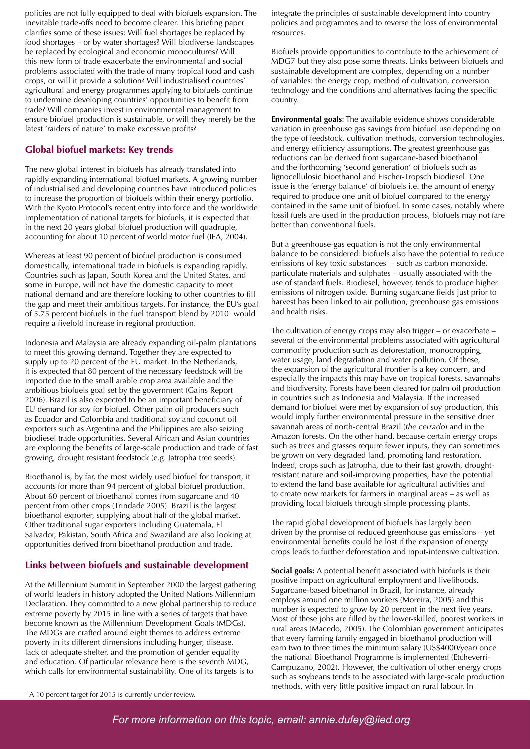policies are not fully equipped to deal with biofuels expansion. The inevitable trade-offs need to become clearer. This briefing paper clarifies some of these issues: Will fuel shortages be replaced by food shortages – or by water shortages? Will biodiverse landscapes be replaced by ecological and economic monocultures? Will this new form of trade exacerbate the environmental and social problems associated with the trade of many tropical food and cash crops, or will it provide a solution? Will industrialised countries' agricultural and energy programmes applying to biofuels continue to undermine developing countries' opportunities to benefit from trade? Will companies invest in environmental management to ensure biofuel production is sustainable, or will they merely be the latest 'raiders of nature' to make excessive profits?

#### **Global biofuel markets: Key trends**

The new global interest in biofuels has already translated into rapidly expanding international biofuel markets. A growing number of industrialised and developing countries have introduced policies to increase the proportion of biofuels within their energy portfolio. With the Kyoto Protocol's recent entry into force and the worldwide implementation of national targets for biofuels, it is expected that in the next 20 years global biofuel production will quadruple, accounting for about 10 percent of world motor fuel (IEA, 2004).

Whereas at least 90 percent of biofuel production is consumed domestically, international trade in biofuels is expanding rapidly. Countries such as Japan, South Korea and the United States, and some in Europe, will not have the domestic capacity to meet national demand and are therefore looking to other countries to fill the gap and meet their ambitious targets. For instance, the EU's goal of 5.75 percent biofuels in the fuel transport blend by 2010<sup>1</sup> would require a fivefold increase in regional production.

Indonesia and Malaysia are already expanding oil-palm plantations to meet this growing demand. Together they are expected to supply up to 20 percent of the EU market. In the Netherlands, it is expected that 80 percent of the necessary feedstock will be imported due to the small arable crop area available and the ambitious biofuels goal set by the government (Gains Report 2006). Brazil is also expected to be an important beneficiary of EU demand for soy for biofuel. Other palm oil producers such as Ecuador and Colombia and traditional soy and coconut oil exporters such as Argentina and the Philippines are also seizing biodiesel trade opportunities. Several African and Asian countries are exploring the benefits of large-scale production and trade of fast growing, drought resistant feedstock (e.g. Jatropha tree seeds).

Bioethanol is, by far, the most widely used biofuel for transport, it accounts for more than 94 percent of global biofuel production. About 60 percent of bioethanol comes from sugarcane and 40 percent from other crops (Trindade 2005). Brazil is the largest bioethanol exporter, supplying about half of the global market. Other traditional sugar exporters including Guatemala, El Salvador, Pakistan, South Africa and Swaziland are also looking at opportunities derived from bioethanol production and trade.

#### **Links between biofuels and sustainable development**

At the Millennium Summit in September 2000 the largest gathering of world leaders in history adopted the United Nations Millennium Declaration. They committed to a new global partnership to reduce extreme poverty by 2015 in line with a series of targets that have become known as the Millennium Development Goals (MDGs). The MDGs are crafted around eight themes to address extreme poverty in its different dimensions including hunger, disease, lack of adequate shelter, and the promotion of gender equality and education. Of particular relevance here is the seventh MDG, which calls for environmental sustainability. One of its targets is to

integrate the principles of sustainable development into country policies and programmes and to reverse the loss of environmental resources.

Biofuels provide opportunities to contribute to the achievement of MDG7 but they also pose some threats. Links between biofuels and sustainable development are complex, depending on a number of variables: the energy crop, method of cultivation, conversion technology and the conditions and alternatives facing the specific country.

**Environmental goals**: The available evidence shows considerable variation in greenhouse gas savings from biofuel use depending on the type of feedstock, cultivation methods, conversion technologies, and energy efficiency assumptions. The greatest greenhouse gas reductions can be derived from sugarcane-based bioethanol and the forthcoming 'second generation' of biofuels such as lignocellulosic bioethanol and Fischer-Tropsch biodiesel. One issue is the 'energy balance' of biofuels i.e. the amount of energy required to produce one unit of biofuel compared to the energy contained in the same unit of biofuel. In some cases, notably where fossil fuels are used in the production process, biofuels may not fare better than conventional fuels.

But a greenhouse-gas equation is not the only environmental balance to be considered: biofuels also have the potential to reduce emissions of key toxic substances – such as carbon monoxide, particulate materials and sulphates – usually associated with the use of standard fuels. Biodiesel, however, tends to produce higher emissions of nitrogen oxide. Burning sugarcane fields just prior to harvest has been linked to air pollution, greenhouse gas emissions and health risks.

The cultivation of energy crops may also trigger – or exacerbate – several of the environmental problems associated with agricultural commodity production such as deforestation, monocropping, water usage, land degradation and water pollution. Of these, the expansion of the agricultural frontier is a key concern, and especially the impacts this may have on tropical forests, savannahs and biodiversity. Forests have been cleared for palm oil production in countries such as Indonesia and Malaysia. If the increased demand for biofuel were met by expansion of soy production, this would imply further environmental pressure in the sensitive drier savannah areas of north-central Brazil (*the cerrado*) and in the Amazon forests. On the other hand, because certain energy crops such as trees and grasses require fewer inputs, they can sometimes be grown on very degraded land, promoting land restoration. Indeed, crops such as Jatropha, due to their fast growth, droughtresistant nature and soil-improving properties, have the potential to extend the land base available for agricultural activities and to create new markets for farmers in marginal areas – as well as providing local biofuels through simple processing plants.

The rapid global development of biofuels has largely been driven by the promise of reduced greenhouse gas emissions – yet environmental benefits could be lost if the expansion of energy crops leads to further deforestation and input-intensive cultivation.

**Social goals:** A potential benefit associated with biofuels is their positive impact on agricultural employment and livelihoods. Sugarcane-based bioethanol in Brazil, for instance, already employs around one million workers (Moreira, 2005) and this number is expected to grow by 20 percent in the next five years. Most of these jobs are filled by the lower-skilled, poorest workers in rural areas (Macedo, 2005). The Colombian government anticipates that every farming family engaged in bioethanol production will earn two to three times the minimum salary (US\$4000/year) once the national Bioethanol Programme is implemented (Etcheverri-Campuzano, 2002). However, the cultivation of other energy crops such as soybeans tends to be associated with large-scale production methods, with very little positive impact on rural labour. In 1

<sup>1</sup>A 10 percent target for 2015 is currently under review.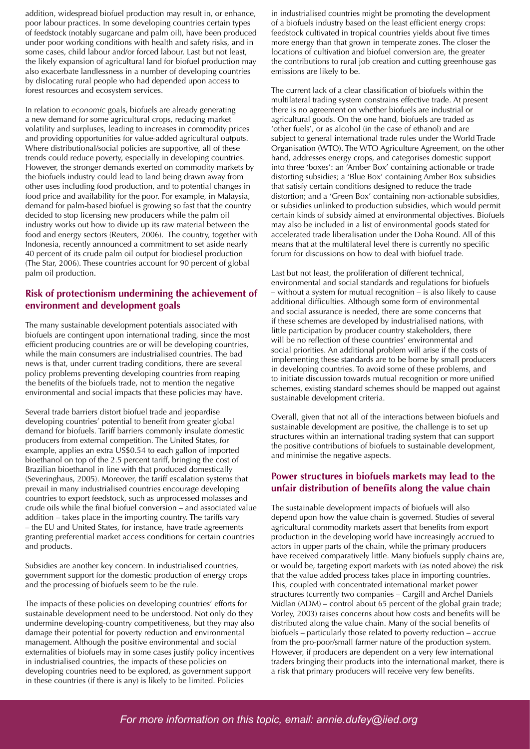addition, widespread biofuel production may result in, or enhance, poor labour practices. In some developing countries certain types of feedstock (notably sugarcane and palm oil), have been produced under poor working conditions with health and safety risks, and in some cases, child labour and/or forced labour. Last but not least, the likely expansion of agricultural land for biofuel production may also exacerbate landlessness in a number of developing countries by dislocating rural people who had depended upon access to forest resources and ecosystem services.

In relation to *economic* goals, biofuels are already generating a new demand for some agricultural crops, reducing market volatility and surpluses, leading to increases in commodity prices and providing opportunities for value-added agricultural outputs. Where distributional/social policies are supportive, all of these trends could reduce poverty, especially in developing countries. However, the stronger demands exerted on commodity markets by the biofuels industry could lead to land being drawn away from other uses including food production, and to potential changes in food price and availability for the poor. For example, in Malaysia, demand for palm-based biofuel is growing so fast that the country decided to stop licensing new producers while the palm oil industry works out how to divide up its raw material between the food and energy sectors (Reuters, 2006). The country, together with Indonesia, recently announced a commitment to set aside nearly 40 percent of its crude palm oil output for biodiesel production (The Star, 2006). These countries account for 90 percent of global palm oil production.

#### **Risk of protectionism undermining the achievement of environment and development goals**

The many sustainable development potentials associated with biofuels are contingent upon international trading, since the most efficient producing countries are or will be developing countries, while the main consumers are industrialised countries. The bad news is that, under current trading conditions, there are several policy problems preventing developing countries from reaping the benefits of the biofuels trade, not to mention the negative environmental and social impacts that these policies may have.

Several trade barriers distort biofuel trade and jeopardise developing countries' potential to benefit from greater global demand for biofuels. Tariff barriers commonly insulate domestic producers from external competition. The United States, for example, applies an extra US\$0.54 to each gallon of imported bioethanol on top of the 2.5 percent tariff, bringing the cost of Brazilian bioethanol in line with that produced domestically (Severinghaus, 2005). Moreover, the tariff escalation systems that prevail in many industrialised countries encourage developing countries to export feedstock, such as unprocessed molasses and crude oils while the final biofuel conversion – and associated value addition – takes place in the importing country. The tariffs vary – the EU and United States, for instance, have trade agreements granting preferential market access conditions for certain countries and products.

Subsidies are another key concern. In industrialised countries, government support for the domestic production of energy crops and the processing of biofuels seem to be the rule.

The impacts of these policies on developing countries' efforts for sustainable development need to be understood. Not only do they undermine developing-country competitiveness, but they may also damage their potential for poverty reduction and environmental management. Although the positive environmental and social externalities of biofuels may in some cases justify policy incentives in industrialised countries, the impacts of these policies on developing countries need to be explored, as government support in these countries (if there is any) is likely to be limited. Policies

in industrialised countries might be promoting the development of a biofuels industry based on the least efficient energy crops: feedstock cultivated in tropical countries yields about five times more energy than that grown in temperate zones. The closer the locations of cultivation and biofuel conversion are, the greater the contributions to rural job creation and cutting greenhouse gas emissions are likely to be.

The current lack of a clear classification of biofuels within the multilateral trading system constrains effective trade. At present there is no agreement on whether biofuels are industrial or agricultural goods. On the one hand, biofuels are traded as 'other fuels', or as alcohol (in the case of ethanol) and are subject to general international trade rules under the World Trade Organisation (WTO). The WTO Agriculture Agreement, on the other hand, addresses energy crops, and categorises domestic support into three 'boxes': an 'Amber Box' containing actionable or trade distorting subsidies; a 'Blue Box' containing Amber Box subsidies that satisfy certain conditions designed to reduce the trade distortion; and a 'Green Box' containing non-actionable subsidies, or subsidies unlinked to production subsidies, which would permit certain kinds of subsidy aimed at environmental objectives. Biofuels may also be included in a list of environmental goods stated for accelerated trade liberalisation under the Doha Round. All of this means that at the multilateral level there is currently no specific forum for discussions on how to deal with biofuel trade.

Last but not least, the proliferation of different technical, environmental and social standards and regulations for biofuels – without a system for mutual recognition  $\frac{1}{x}$  is also likely to cause additional difficulties. Although some form of environmental and social assurance is needed, there are some concerns that if these schemes are developed by industrialised nations, with little participation by producer country stakeholders, there will be no reflection of these countries' environmental and social priorities. An additional problem will arise if the costs of implementing these standards are to be borne by small producers in developing countries. To avoid some of these problems, and to initiate discussion towards mutual recognition or more unified schemes, existing standard schemes should be mapped out against sustainable development criteria.

Overall, given that not all of the interactions between biofuels and sustainable development are positive, the challenge is to set up structures within an international trading system that can support the positive contributions of biofuels to sustainable development, and minimise the negative aspects.

#### **Power structures in biofuels markets may lead to the unfair distribution of benefits along the value chain**

The sustainable development impacts of biofuels will also depend upon how the value chain is governed. Studies of several agricultural commodity markets assert that benefits from export production in the developing world have increasingly accrued to actors in upper parts of the chain, while the primary producers have received comparatively little. Many biofuels supply chains are, or would be, targeting export markets with (as noted above) the risk that the value added process takes place in importing countries. This, coupled with concentrated international market power structures (currently two companies – Cargill and Archel Daniels Midlan (ADM) – control about 65 percent of the global grain trade; Vorley, 2003) raises concerns about how costs and benefits will be distributed along the value chain. Many of the social benefits of biofuels – particularly those related to poverty reduction – accrue from the pro-poor/small farmer nature of the production system. However, if producers are dependent on a very few international traders bringing their products into the international market, there is a risk that primary producers will receive very few benefits.